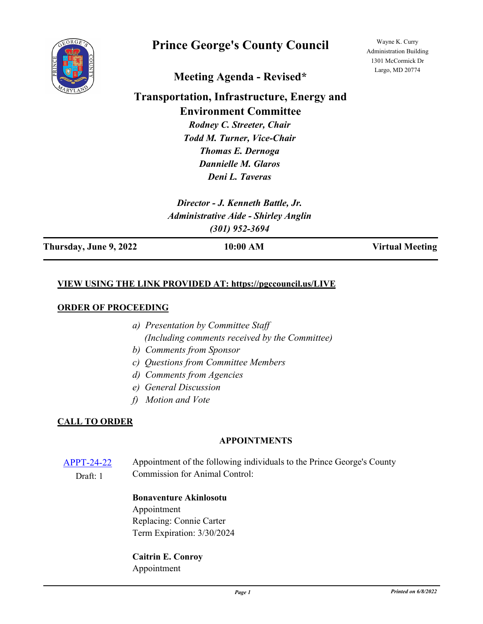

# **Prince George's County Council**

Wayne K. Curry Administration Building 1301 McCormick Dr Largo, MD 20774

# **Meeting Agenda - Revised\***

# **Transportation, Infrastructure, Energy and Environment Committee**

*Rodney C. Streeter, Chair Todd M. Turner, Vice-Chair Thomas E. Dernoga Dannielle M. Glaros Deni L. Taveras*

*Director - J. Kenneth Battle, Jr. Administrative Aide - Shirley Anglin (301) 952-3694*

**Thursday, June 9, 2022 10:00 AM Virtual Meeting**

## **VIEW USING THE LINK PROVIDED AT: https://pgccouncil.us/LIVE**

#### **ORDER OF PROCEEDING**

- *a) Presentation by Committee Staff (Including comments received by the Committee)*
- *b) Comments from Sponsor*
- *c) Questions from Committee Members*
- *d) Comments from Agencies*
- *e) General Discussion*
- *f) Motion and Vote*

### **CALL TO ORDER**

### **APPOINTMENTS**

[APPT-24-22](http://princegeorgescountymd.legistar.com/gateway.aspx?m=l&id=/matter.aspx?key=15053) Appointment of the following individuals to the Prince George's County Commission for Animal Control: Draft: 1

#### **Bonaventure Akinlosotu** Appointment

Replacing: Connie Carter Term Expiration: 3/30/2024

**Caitrin E. Conroy** Appointment